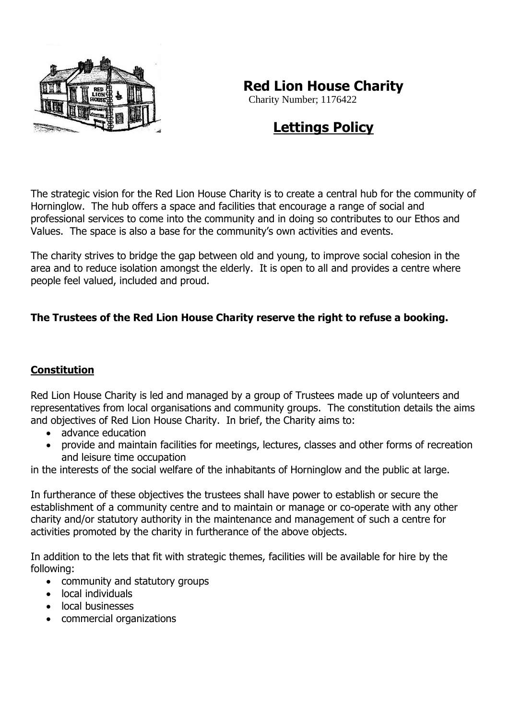

# **Red Lion House Charity**

Charity Number; 1176422

# **Lettings Policy**

The strategic vision for the Red Lion House Charity is to create a central hub for the community of Horninglow. The hub offers a space and facilities that encourage a range of social and professional services to come into the community and in doing so contributes to our Ethos and Values. The space is also a base for the community's own activities and events.

The charity strives to bridge the gap between old and young, to improve social cohesion in the area and to reduce isolation amongst the elderly. It is open to all and provides a centre where people feel valued, included and proud.

### **The Trustees of the Red Lion House Charity reserve the right to refuse a booking.**

#### **Constitution**

Red Lion House Charity is led and managed by a group of Trustees made up of volunteers and representatives from local organisations and community groups. The constitution details the aims and objectives of Red Lion House Charity. In brief, the Charity aims to:

- advance education
- provide and maintain facilities for meetings, lectures, classes and other forms of recreation and leisure time occupation

in the interests of the social welfare of the inhabitants of Horninglow and the public at large.

In furtherance of these objectives the trustees shall have power to establish or secure the establishment of a community centre and to maintain or manage or co-operate with any other charity and/or statutory authority in the maintenance and management of such a centre for activities promoted by the charity in furtherance of the above objects.

In addition to the lets that fit with strategic themes, facilities will be available for hire by the following:

- community and statutory groups
- local individuals
- local businesses
- commercial organizations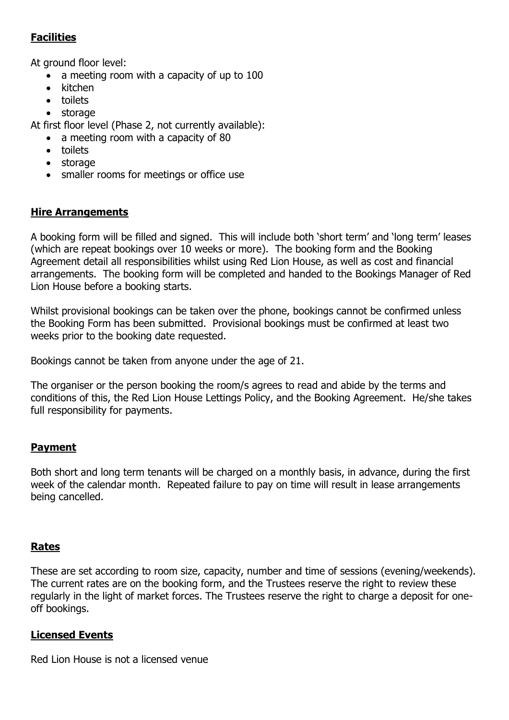## **Facilities**

At ground floor level:

- a meeting room with a capacity of up to 100
- kitchen
- toilets
- storage

At first floor level (Phase 2, not currently available):

- a meeting room with a capacity of 80
- toilets
- storage
- smaller rooms for meetings or office use

#### **Hire Arrangements**

A booking form will be filled and signed. This will include both 'short term' and 'long term' leases (which are repeat bookings over 10 weeks or more). The booking form and the Booking Agreement detail all responsibilities whilst using Red Lion House, as well as cost and financial arrangements. The booking form will be completed and handed to the Bookings Manager of Red Lion House before a booking starts.

Whilst provisional bookings can be taken over the phone, bookings cannot be confirmed unless the Booking Form has been submitted. Provisional bookings must be confirmed at least two weeks prior to the booking date requested.

Bookings cannot be taken from anyone under the age of 21.

The organiser or the person booking the room/s agrees to read and abide by the terms and conditions of this, the Red Lion House Lettings Policy, and the Booking Agreement. He/she takes full responsibility for payments.

#### **Payment**

Both short and long term tenants will be charged on a monthly basis, in advance, during the first week of the calendar month. Repeated failure to pay on time will result in lease arrangements being cancelled.

#### **Rates**

These are set according to room size, capacity, number and time of sessions (evening/weekends). The current rates are on the booking form, and the Trustees reserve the right to review these regularly in the light of market forces. The Trustees reserve the right to charge a deposit for oneoff bookings.

#### **Licensed Events**

Red Lion House is not a licensed venue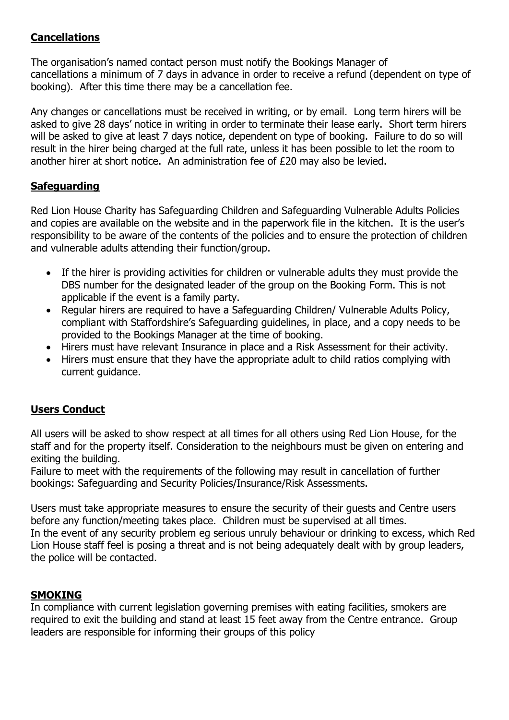### **Cancellations**

The organisation's named contact person must notify the Bookings Manager of cancellations a minimum of 7 days in advance in order to receive a refund (dependent on type of booking). After this time there may be a cancellation fee.

Any changes or cancellations must be received in writing, or by email. Long term hirers will be asked to give 28 days' notice in writing in order to terminate their lease early. Short term hirers will be asked to give at least 7 days notice, dependent on type of booking. Failure to do so will result in the hirer being charged at the full rate, unless it has been possible to let the room to another hirer at short notice. An administration fee of £20 may also be levied.

#### **Safeguarding**

Red Lion House Charity has Safeguarding Children and Safeguarding Vulnerable Adults Policies and copies are available on the website and in the paperwork file in the kitchen. It is the user's responsibility to be aware of the contents of the policies and to ensure the protection of children and vulnerable adults attending their function/group.

- If the hirer is providing activities for children or vulnerable adults they must provide the DBS number for the designated leader of the group on the Booking Form. This is not applicable if the event is a family party.
- Regular hirers are required to have a Safeguarding Children/ Vulnerable Adults Policy, compliant with Staffordshire's Safeguarding guidelines, in place, and a copy needs to be provided to the Bookings Manager at the time of booking.
- Hirers must have relevant Insurance in place and a Risk Assessment for their activity.
- Hirers must ensure that they have the appropriate adult to child ratios complying with current guidance.

#### **Users Conduct**

All users will be asked to show respect at all times for all others using Red Lion House, for the staff and for the property itself. Consideration to the neighbours must be given on entering and exiting the building.

Failure to meet with the requirements of the following may result in cancellation of further bookings: Safeguarding and Security Policies/Insurance/Risk Assessments.

Users must take appropriate measures to ensure the security of their guests and Centre users before any function/meeting takes place. Children must be supervised at all times. In the event of any security problem eg serious unruly behaviour or drinking to excess, which Red Lion House staff feel is posing a threat and is not being adequately dealt with by group leaders, the police will be contacted.

#### **SMOKING**

In compliance with current legislation governing premises with eating facilities, smokers are required to exit the building and stand at least 15 feet away from the Centre entrance. Group leaders are responsible for informing their groups of this policy